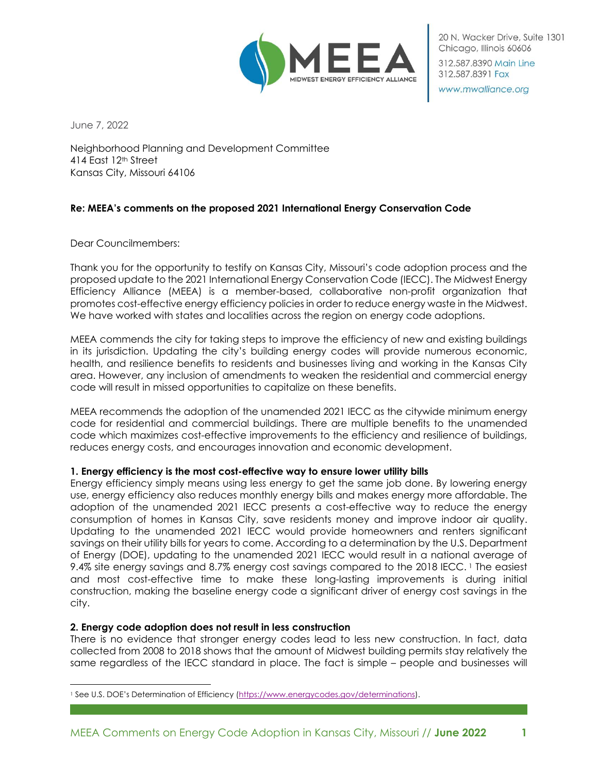

20 N. Wacker Drive, Suite 1301 Chicago, Illinois 60606

312,587,8390 Main Line 312.587.8391 Fax

www.mwalliance.org

June 7, 2022

Neighborhood Planning and Development Committee 414 East 12th Street Kansas City, Missouri 64106

# **Re: MEEA's comments on the proposed 2021 International Energy Conservation Code**

Dear Councilmembers:

Thank you for the opportunity to testify on Kansas City, Missouri's code adoption process and the proposed update to the 2021 International Energy Conservation Code (IECC). The Midwest Energy Efficiency Alliance (MEEA) is a member-based, collaborative non-profit organization that promotes cost-effective energy efficiency policies in order to reduce energy waste in the Midwest. We have worked with states and localities across the region on energy code adoptions.

MEEA commends the city for taking steps to improve the efficiency of new and existing buildings in its jurisdiction. Updating the city's building energy codes will provide numerous economic, health, and resilience benefits to residents and businesses living and working in the Kansas City area. However, any inclusion of amendments to weaken the residential and commercial energy code will result in missed opportunities to capitalize on these benefits.

MEEA recommends the adoption of the unamended 2021 IECC as the citywide minimum energy code for residential and commercial buildings. There are multiple benefits to the unamended code which maximizes cost-effective improvements to the efficiency and resilience of buildings, reduces energy costs, and encourages innovation and economic development.

#### **1. Energy efficiency is the most cost-effective way to ensure lower utility bills**

Energy efficiency simply means using less energy to get the same job done. By lowering energy use, energy efficiency also reduces monthly energy bills and makes energy more affordable. The adoption of the unamended 2021 IECC presents a cost-effective way to reduce the energy consumption of homes in Kansas City, save residents money and improve indoor air quality. Updating to the unamended 2021 IECC would provide homeowners and renters significant savings on their utility bills for years to come. According to a determination by the U.S. Department of Energy (DOE), updating to the unamended 2021 IECC would result in a national average of 9.4% site energy savings and 8.7% energy cost savings compared to the 2018 IECC. I The easiest and most cost-effective time to make these long-lasting improvements is during initial construction, making the baseline energy code a significant driver of energy cost savings in the city.

## **2. Energy code adoption does not result in less construction**

There is no evidence that stronger energy codes lead to less new construction. In fact, data collected from 2008 to 2018 shows that the amount of Midwest building permits stay relatively the same regardless of the IECC standard in place. The fact is simple – people and businesses will

<sup>&</sup>lt;sup>1</sup> See U.S. DOE's Determination of Efficiency ([https://www.energycodes.gov/determinations\)](https://www.energycodes.gov/determinations).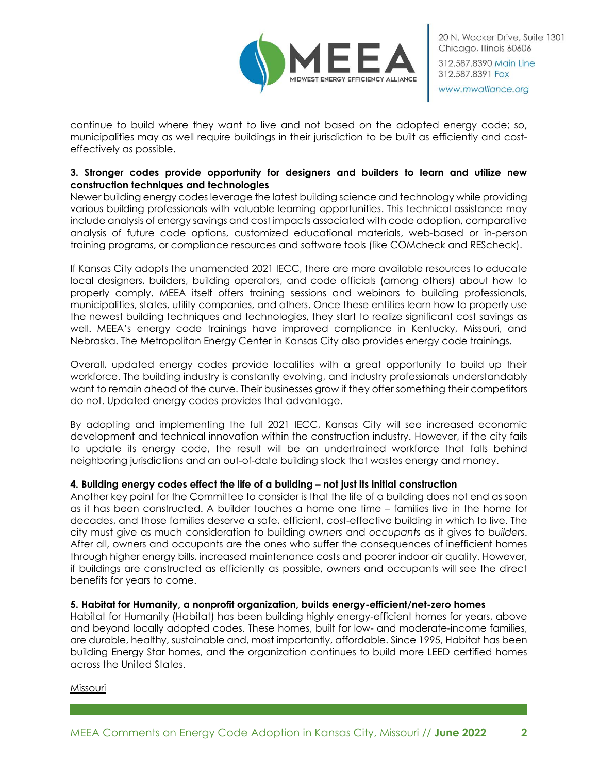

continue to build where they want to live and not based on the adopted energy code; so, municipalities may as well require buildings in their jurisdiction to be built as efficiently and costeffectively as possible.

# **3. Stronger codes provide opportunity for designers and builders to learn and utilize new construction techniques and technologies**

Newer building energy codes leverage the latest building science and technology while providing various building professionals with valuable learning opportunities. This technical assistance may include analysis of energy savings and cost impacts associated with code adoption, comparative analysis of future code options, customized educational materials, web-based or in-person training programs, or compliance resources and software tools (like COMcheck and REScheck).

If Kansas City adopts the unamended 2021 IECC, there are more available resources to educate local designers, builders, building operators, and code officials (among others) about how to properly comply. MEEA itself offers training sessions and webinars to building professionals, municipalities, states, utility companies, and others. Once these entities learn how to properly use the newest building techniques and technologies, they start to realize significant cost savings as well. MEEA's energy code trainings have improved compliance in Kentucky, Missouri, and Nebraska. The Metropolitan Energy Center in Kansas City also provides energy code trainings.

Overall, updated energy codes provide localities with a great opportunity to build up their workforce. The building industry is constantly evolving, and industry professionals understandably want to remain ahead of the curve. Their businesses grow if they offer something their competitors do not. Updated energy codes provides that advantage.

By adopting and implementing the full 2021 IECC, Kansas City will see increased economic development and technical innovation within the construction industry. However, if the city fails to update its energy code, the result will be an undertrained workforce that falls behind neighboring jurisdictions and an out-of-date building stock that wastes energy and money.

## **4. Building energy codes effect the life of a building – not just its initial construction**

Another key point for the Committee to consider is that the life of a building does not end as soon as it has been constructed. A builder touches a home one time – families live in the home for decades, and those families deserve a safe, efficient, cost-effective building in which to live. The city must give as much consideration to building *owners* and *occupants* as it gives to *builders*. After all, owners and occupants are the ones who suffer the consequences of inefficient homes through higher energy bills, increased maintenance costs and poorer indoor air quality. However, if buildings are constructed as efficiently as possible, owners and occupants will see the direct benefits for years to come.

## **5. Habitat for Humanity, a nonprofit organization, builds energy-efficient/net-zero homes**

Habitat for Humanity (Habitat) has been building highly energy-efficient homes for years, above and beyond locally adopted codes. These homes, built for low- and moderate-income families, are durable, healthy, sustainable and, most importantly, affordable. Since 1995, Habitat has been building Energy Star homes, and the organization continues to build more LEED certified homes across the United States.

Missouri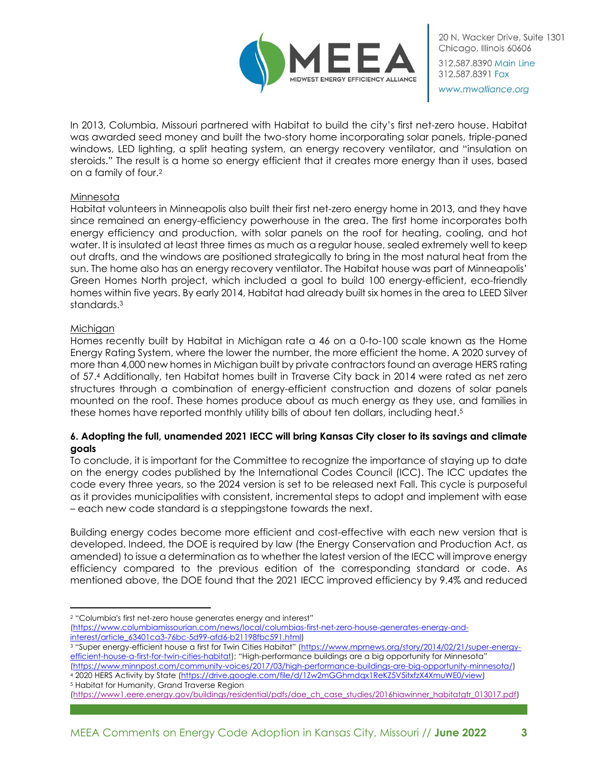

In 2013, Columbia, Missouri partnered with Habitat to build the city's first net-zero house. Habitat was awarded seed money and built the two-story home incorporating solar panels, triple-paned windows, LED lighting, a split heating system, an energy recovery ventilator, and "insulation on steroids." The result is a home so energy efficient that it creates more energy than it uses, based on a family of four.<sup>2</sup>

## Minnesota

Habitat volunteers in Minneapolis also built their first net-zero energy home in 2013, and they have since remained an energy-efficiency powerhouse in the area. The first home incorporates both energy efficiency and production, with solar panels on the roof for heating, cooling, and hot water. It is insulated at least three times as much as a regular house, sealed extremely well to keep out drafts, and the windows are positioned strategically to bring in the most natural heat from the sun. The home also has an energy recovery ventilator. The Habitat house was part of Minneapolis' Green Homes North project, which included a goal to build 100 energy-efficient, eco-friendly homes within five years. By early 2014, Habitat had already built six homes in the area to LEED Silver standards.<sup>3</sup>

# **Michigan**

Homes recently built by Habitat in Michigan rate a 46 on a 0-to-100 scale known as the Home Energy Rating System, where the lower the number, the more efficient the home. A 2020 survey of more than 4,000 new homes in Michigan built by private contractors found an average HERS rating of 57.<sup>4</sup> Additionally, ten Habitat homes built in Traverse City back in 2014 were rated as net zero structures through a combination of energy-efficient construction and dozens of solar panels mounted on the roof. These homes produce about as much energy as they use, and families in these homes have reported monthly utility bills of about ten dollars, including heat. 5

# **6. Adopting the full, unamended 2021 IECC will bring Kansas City closer to its savings and climate goals**

To conclude, it is important for the Committee to recognize the importance of staying up to date on the energy codes published by the International Codes Council (ICC). The ICC updates the code every three years, so the 2024 version is set to be released next Fall. This cycle is purposeful as it provides municipalities with consistent, incremental steps to adopt and implement with ease – each new code standard is a steppingstone towards the next.

Building energy codes become more efficient and cost-effective with each new version that is developed. Indeed, the DOE is required by law (the Energy Conservation and Production Act, as amended) to issue a determination as to whether the latest version of the IECC will improve energy efficiency compared to the previous edition of the corresponding standard or code. As mentioned above, the DOE found that the 2021 IECC improved efficiency by 9.4% and reduced

[\(https://www.minnpost.com/community-voices/2017/03/high-performance-buildings-are-big-opportunity-minnesota/\)](https://www.minnpost.com/community-voices/2017/03/high-performance-buildings-are-big-opportunity-minnesota/) <sup>4</sup> 2020 HERS Activity by State [\(https://drive.google.com/file/d/1Zw2mGGhmdqx1ReKZ5V5itxfzX4XmuWE0/view\)](https://drive.google.com/file/d/1Zw2mGGhmdqx1ReKZ5V5itxfzX4XmuWE0/view)

<sup>5</sup> Habitat for Humanity, Grand Traverse Region

<sup>2</sup> "Columbia's first net-zero house generates energy and interest"

[<sup>\(</sup>https://www.columbiamissourian.com/news/local/columbias-first-net-zero-house-generates-energy-and](https://www.columbiamissourian.com/news/local/columbias-first-net-zero-house-generates-energy-and-interest/article_63401ca3-76bc-5d99-afd6-b21198fbc591.html)[interest/article\\_63401ca3-76bc-5d99-afd6-b21198fbc591.html\)](https://www.columbiamissourian.com/news/local/columbias-first-net-zero-house-generates-energy-and-interest/article_63401ca3-76bc-5d99-afd6-b21198fbc591.html)

<sup>3</sup> "Super energy-efficient house a first for Twin Cities Habitat" ([https://www.mprnews.org/story/2014/02/21/super-energy](https://www.mprnews.org/story/2014/02/21/super-energy-efficient-house-a-first-for-twin-cities-habitat)[efficient-house-a-first-for-twin-cities-habitat](https://www.mprnews.org/story/2014/02/21/super-energy-efficient-house-a-first-for-twin-cities-habitat)); "High-performance buildings are a big opportunity for Minnesota"

[<sup>\(</sup>https://www1.eere.energy.gov/buildings/residential/pdfs/doe\\_ch\\_case\\_studies/2016hiawinner\\_habitatgtr\\_013017.pdf\)](https://www1.eere.energy.gov/buildings/residential/pdfs/doe_ch_case_studies/2016hiawinner_habitatgtr_013017.pdf)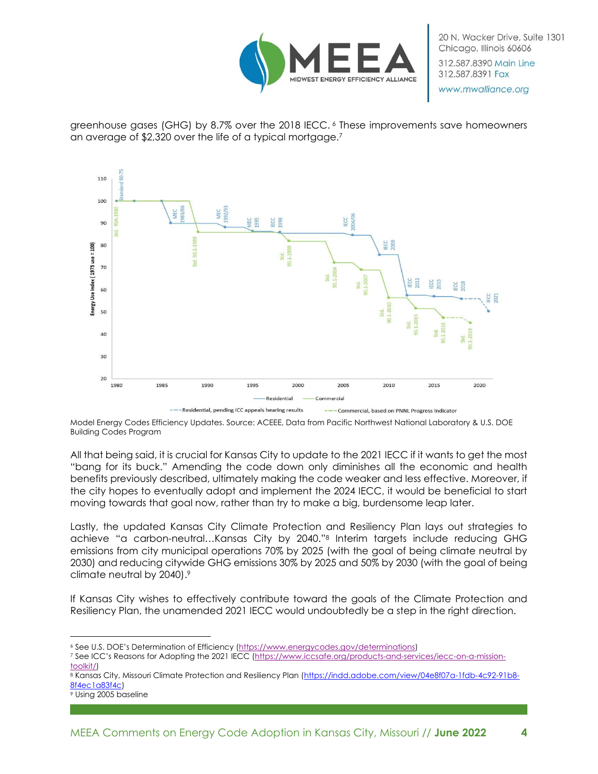

20 N. Wacker Drive, Suite 1301 Chicago, Illinois 60606 312,587,8390 Main Line

312.587.8391 Fax www.mwalliance.org

greenhouse gases (GHG) by 8.7% over the 2018 IECC. <sup>6</sup> These improvements save homeowners an average of \$2,320 over the life of a typical mortgage.<sup>7</sup>



Model Energy Codes Efficiency Updates. Source: ACEEE, Data from Pacific Northwest National Laboratory & U.S. DOE Building Codes Program

All that being said, it is crucial for Kansas City to update to the 2021 IECC if it wants to get the most "bang for its buck." Amending the code down only diminishes all the economic and health benefits previously described, ultimately making the code weaker and less effective. Moreover, if the city hopes to eventually adopt and implement the 2024 IECC, it would be beneficial to start moving towards that goal now, rather than try to make a big, burdensome leap later.

Lastly, the updated Kansas City Climate Protection and Resiliency Plan lays out strategies to achieve "a carbon-neutral…Kansas City by 2040." <sup>8</sup> Interim targets include reducing GHG emissions from city municipal operations 70% by 2025 (with the goal of being climate neutral by 2030) and reducing citywide GHG emissions 30% by 2025 and 50% by 2030 (with the goal of being climate neutral by 2040). 9

If Kansas City wishes to effectively contribute toward the goals of the Climate Protection and Resiliency Plan, the unamended 2021 IECC would undoubtedly be a step in the right direction.

<sup>6</sup> See U.S. DOE's Determination of Efficiency ([https://www.energycodes.gov/determinations\)](https://www.energycodes.gov/determinations)

<sup>7</sup> See ICC's Reasons for Adopting the 2021 IECC ([https://www.iccsafe.org/products-and-services/iecc-on-a-mission](https://www.iccsafe.org/products-and-services/iecc-on-a-mission-toolkit/)[toolkit/\)](https://www.iccsafe.org/products-and-services/iecc-on-a-mission-toolkit/)

<sup>8</sup> Kansas City, Missouri Climate Protection and Resiliency Plan [\(https://indd.adobe.com/view/04e8f07a-1fdb-4c92-91b8-](https://indd.adobe.com/view/04e8f07a-1fdb-4c92-91b8-8f4ec1a83f4c) [8f4ec1a83f4c\)](https://indd.adobe.com/view/04e8f07a-1fdb-4c92-91b8-8f4ec1a83f4c)

<sup>9</sup> Using 2005 baseline